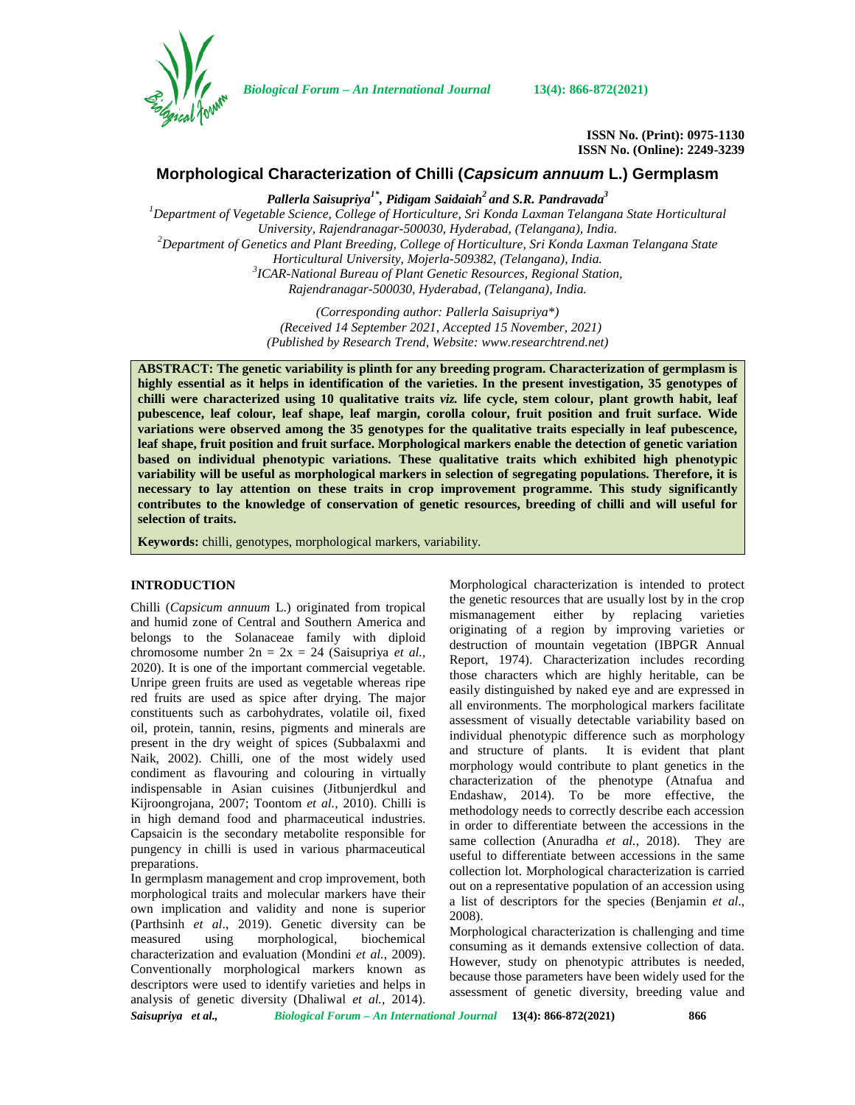

*Biological Forum – An International Journal* **13(4): 866-872(2021)**

**ISSN No. (Print): 0975-1130 ISSN No. (Online): 2249-3239**

## **Morphological Characterization of Chilli (***Capsicum annuum* **L.) Germplasm**

*Pallerla Saisupriya1\* , Pidigam Saidaiah<sup>2</sup> and S.R. Pandravada<sup>3</sup>*

*<sup>1</sup>Department of Vegetable Science, College of Horticulture, Sri Konda Laxman Telangana State Horticultural University, Rajendranagar-500030, Hyderabad, (Telangana), India. <sup>2</sup>Department of Genetics and Plant Breeding, College of Horticulture, Sri Konda Laxman Telangana State Horticultural University, Mojerla-509382, (Telangana), India. <sup>3</sup>ICAR-National Bureau of Plant Genetic Resources, Regional Station, Rajendranagar-500030, Hyderabad, (Telangana), India.*

> *(Corresponding author: Pallerla Saisupriya\*) (Received 14 September 2021, Accepted 15 November, 2021) (Published by Research Trend, Website: [www.researchtrend.net\)](www.researchtrend.net)*

**ABSTRACT: The genetic variability is plinth for any breeding program. Characterization of germplasm is highly essential as it helps in identification of the varieties. In the present investigation, 35 genotypes of chilli were characterized using 10 qualitative traits** *viz.* **life cycle, stem colour, plant growth habit, leaf pubescence, leaf colour, leaf shape, leaf margin, corolla colour, fruit position and fruit surface. Wide variations were observed among the 35 genotypes for the qualitative traits especially in leaf pubescence, leaf shape, fruit position and fruit surface. Morphological markers enable the detection of genetic variation based on individual phenotypic variations. These qualitative traits which exhibited high phenotypic variability will be useful as morphological markers in selection of segregating populations. Therefore, it is necessary to lay attention on these traits in crop improvement programme. This study significantly contributes to the knowledge of conservation of genetic resources, breeding of chilli and will useful for selection of traits.**

**Keywords:** chilli, genotypes, morphological markers, variability.

### **INTRODUCTION**

Chilli (*Capsicum annuum* L.) originated from tropical and humid zone of Central and Southern America and belongs to the Solanaceae family with diploid chromosome number 2n = 2x = 24 (Saisupriya *et al.,* 2020). It is one of the important commercial vegetable. Unripe green fruits are used as vegetable whereas ripe red fruits are used as spice after drying. The major constituents such as carbohydrates, volatile oil, fixed oil, protein, tannin, resins, pigments and minerals are present in the dry weight of spices (Subbalaxmi and Naik, 2002). Chilli, one of the most widely used condiment as flavouring and colouring in virtually indispensable in Asian cuisines (Jitbunjerdkul and Kijroongrojana, 2007; Toontom *et al.,* 2010). Chilli is in high demand food and pharmaceutical industries. Capsaicin is the secondary metabolite responsible for pungency in chilli is used in various pharmaceutical preparations.

In germplasm management and crop improvement, both morphological traits and molecular markers have their own implication and validity and none is superior (Parthsinh *et al*., 2019). Genetic diversity can be measured using morphological, biochemical characterization and evaluation (Mondini *et al.*, 2009). Conventionally morphological markers known as descriptors were used to identify varieties and helps in analysis of genetic diversity (Dhaliwal *et al.,* 2014).

Morphological characterization is intended to protect the genetic resources that are usually lost by in the crop mismanagement either by replacing varieties originating of a region by improving varieties or destruction of mountain vegetation (IBPGR Annual Report, 1974). Characterization includes recording those characters which are highly heritable, can be easily distinguished by naked eye and are expressed in all environments. The morphological markers facilitate assessment of visually detectable variability based on individual phenotypic difference such as morphology and structure of plants. It is evident that plant morphology would contribute to plant genetics in the characterization of the phenotype (Atnafua and Endashaw, 2014). To be more effective, the methodology needs to correctly describe each accession in order to differentiate between the accessions in the same collection (Anuradha *et al.,* 2018). They are useful to differentiate between accessions in the same collection lot. Morphological characterization is carried out on a representative population of an accession using a list of descriptors for the species (Benjamin *et al*., 2008).

Morphological characterization is challenging and time consuming as it demands extensive collection of data. However, study on phenotypic attributes is needed, because those parameters have been widely used for the assessment of genetic diversity, breeding value and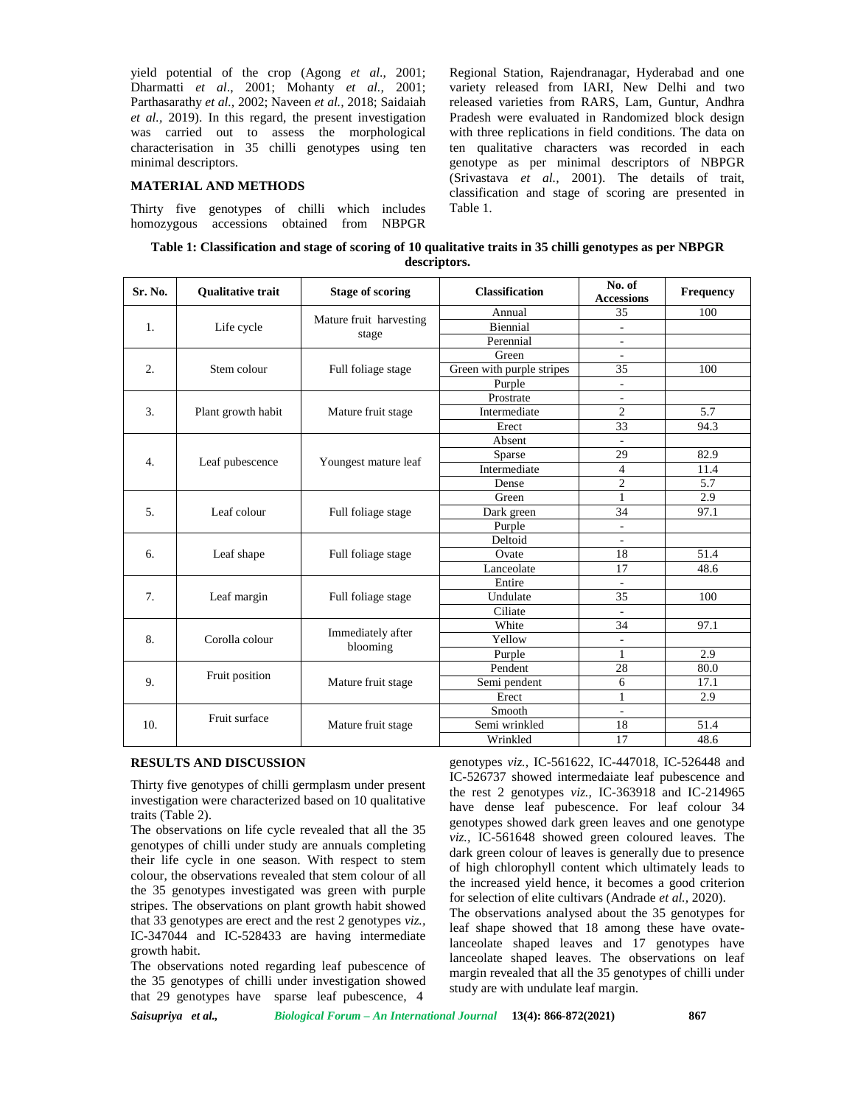yield potential of the crop (Agong *et al*., 2001; Dharmatti *et al*., 2001; Mohanty *et al.,* 2001; Parthasarathy *et al.,* 2002; Naveen *et al.,* 2018; Saidaiah *et al.,* 2019). In this regard, the present investigation was carried out to assess the morphological characterisation in 35 chilli genotypes using ten minimal descriptors.

### **MATERIAL AND METHODS**

Thirty five genotypes of chilli which includes homozygous accessions obtained from NBPGR

Regional Station, Rajendranagar, Hyderabad and one variety released from IARI, New Delhi and two released varieties from RARS, Lam, Guntur, Andhra Pradesh were evaluated in Randomized block design with three replications in field conditions. The data on ten qualitative characters was recorded in each genotype as per minimal descriptors of NBPGR (Srivastava *et al.,* 2001). The details of trait, classification and stage of scoring are presented in Table 1.

| Table 1: Classification and stage of scoring of 10 qualitative traits in 35 chilli genotypes as per NBPGR |  |  |  |  |  |  |
|-----------------------------------------------------------------------------------------------------------|--|--|--|--|--|--|
| descriptors.                                                                                              |  |  |  |  |  |  |

| Sr. No. | <b>Oualitative trait</b> | <b>Stage of scoring</b> | <b>Classification</b>     | No. of<br><b>Accessions</b> | Frequency |  |
|---------|--------------------------|-------------------------|---------------------------|-----------------------------|-----------|--|
|         |                          |                         | Annual                    | 35                          | 100       |  |
| 1.      | Life cycle               | Mature fruit harvesting | Biennial                  | $\overline{\phantom{a}}$    |           |  |
|         |                          | stage                   | Perennial                 | -                           |           |  |
|         |                          |                         | Green                     | ä,                          |           |  |
| 2.      | Stem colour              | Full foliage stage      | Green with purple stripes | 35                          | 100       |  |
|         |                          |                         | Purple                    | $\overline{\phantom{a}}$    |           |  |
|         |                          |                         | Prostrate                 | ä,                          |           |  |
| 3.      | Plant growth habit       | Mature fruit stage      | Intermediate              | $\overline{c}$              | 5.7       |  |
|         |                          |                         | Erect                     | 33                          | 94.3      |  |
|         |                          |                         | Absent                    | $\sim$                      |           |  |
|         | Leaf pubescence          |                         | Sparse                    | 29                          | 82.9      |  |
| 4.      |                          | Youngest mature leaf    | Intermediate              | $\overline{4}$              | 11.4      |  |
|         |                          |                         | Dense                     | $\overline{2}$              | 5.7       |  |
|         | Leaf colour              | Full foliage stage      | Green                     | $\mathbf{1}$                | 2.9       |  |
| 5.      |                          |                         | Dark green                | 34                          | 97.1      |  |
|         |                          |                         | Purple                    | $\sim$                      |           |  |
|         | Leaf shape               | Full foliage stage      | Deltoid                   | L,                          |           |  |
| 6.      |                          |                         | Ovate                     | 18                          | 51.4      |  |
|         |                          |                         | Lanceolate                | 17                          | 48.6      |  |
|         |                          |                         | Entire                    |                             |           |  |
| 7.      | Leaf margin              | Full foliage stage      | Undulate                  | 35                          | 100       |  |
|         |                          |                         | Ciliate                   | $\overline{\phantom{a}}$    |           |  |
|         | Corolla colour           |                         | White                     | 34                          | 97.1      |  |
| 8.      |                          | Immediately after       | Yellow                    | ÷,                          |           |  |
|         |                          | blooming                | Purple                    | $\mathbf{1}$                | 2.9       |  |
|         |                          |                         | Pendent                   | 28                          | 80.0      |  |
| 9.      | Fruit position           | Mature fruit stage      | Semi pendent              | 6                           | 17.1      |  |
|         |                          |                         | Erect                     | 1                           | 2.9       |  |
|         |                          |                         | Smooth                    | $\overline{\phantom{a}}$    |           |  |
| 10.     | Fruit surface            | Mature fruit stage      | Semi wrinkled             | 18                          | 51.4      |  |
|         |                          |                         | Wrinkled                  | 17                          | 48.6      |  |

#### **RESULTS AND DISCUSSION**

Thirty five genotypes of chilli germplasm under present investigation were characterized based on 10 qualitative traits (Table 2).

The observations on life cycle revealed that all the 35 genotypes of chilli under study are annuals completing their life cycle in one season. With respect to stem colour, the observations revealed that stem colour of all the 35 genotypes investigated was green with purple stripes. The observations on plant growth habit showed that 33 genotypes are erect and the rest 2 genotypes *viz.,* IC-347044 and IC-528433 are having intermediate growth habit.

The observations noted regarding leaf pubescence of the 35 genotypes of chilli under investigation showed that 29 genotypes have sparse leaf pubescence, 4

genotypes *viz.,* IC-561622, IC-447018, IC-526448 and IC-526737 showed intermedaiate leaf pubescence and the rest 2 genotypes *viz.,* IC-363918 and IC-214965 have dense leaf pubescence. For leaf colour 34 genotypes showed dark green leaves and one genotype *viz.,* IC-561648 showed green coloured leaves. The dark green colour of leaves is generally due to presence of high chlorophyll content which ultimately leads to the increased yield hence, it becomes a good criterion for selection of elite cultivars (Andrade *et al.,* 2020).

The observations analysed about the 35 genotypes for leaf shape showed that 18 among these have ovatelanceolate shaped leaves and 17 genotypes have lanceolate shaped leaves. The observations on leaf margin revealed that all the 35 genotypes of chilli under study are with undulate leaf margin.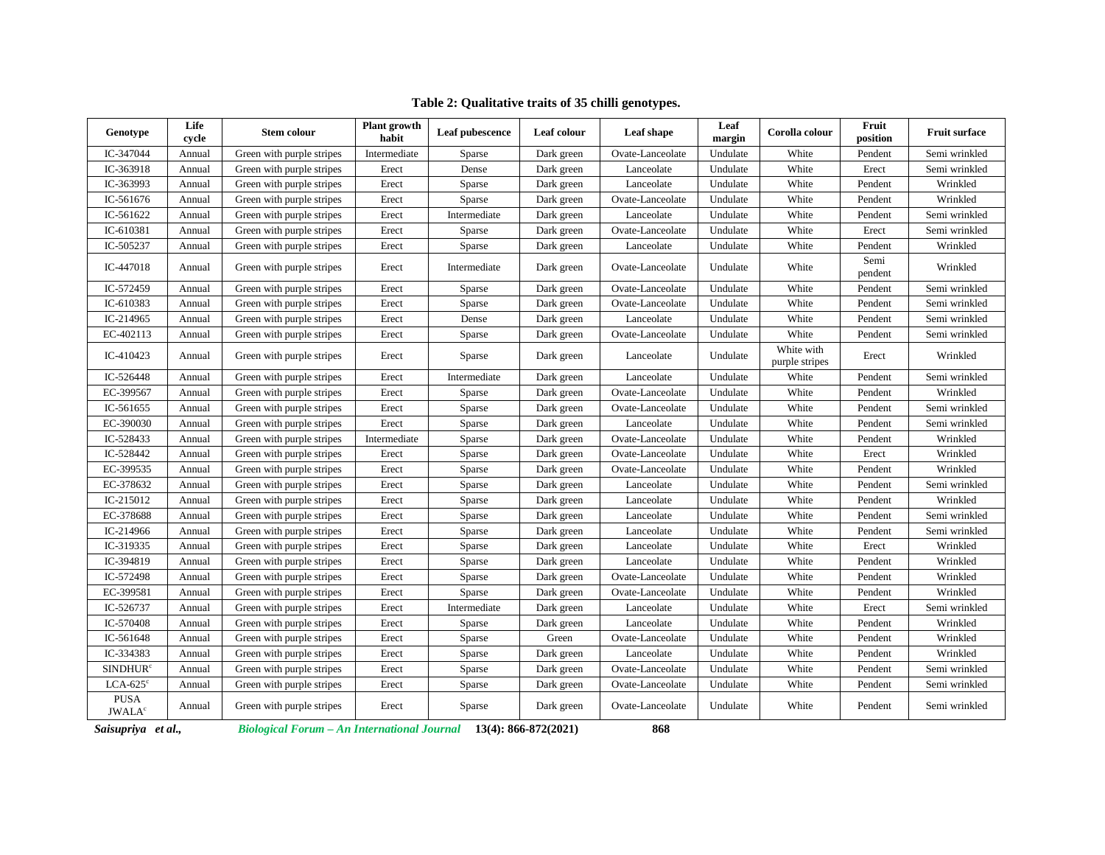| Genotype                                 | Life<br>cycle | <b>Stem colour</b>        | Plant growth<br>habit | Leaf pubescence | Leaf colour | Leaf shape       | Leaf<br>margin | Corolla colour               | Fruit<br>position | <b>Fruit surface</b> |
|------------------------------------------|---------------|---------------------------|-----------------------|-----------------|-------------|------------------|----------------|------------------------------|-------------------|----------------------|
| IC-347044                                | Annual        | Green with purple stripes | Intermediate          | Sparse          | Dark green  | Ovate-Lanceolate | Undulate       | White                        | Pendent           | Semi wrinkled        |
| IC-363918                                | Annual        | Green with purple stripes | Erect                 | Dense           | Dark green  | Lanceolate       | Undulate       | White                        | Erect             | Semi wrinkled        |
| IC-363993                                | Annual        | Green with purple stripes | Erect                 | Sparse          | Dark green  | Lanceolate       | Undulate       | White                        | Pendent           | Wrinkled             |
| IC-561676                                | Annual        | Green with purple stripes | Erect                 | Sparse          | Dark green  | Ovate-Lanceolate | Undulate       | White                        | Pendent           | Wrinkled             |
| IC-561622                                | Annual        | Green with purple stripes | Erect                 | Intermediate    | Dark green  | Lanceolate       | Undulate       | White                        | Pendent           | Semi wrinkled        |
| IC-610381                                | Annual        | Green with purple stripes | Erect                 | Sparse          | Dark green  | Ovate-Lanceolate | Undulate       | White                        | Erect             | Semi wrinkled        |
| IC-505237                                | Annual        | Green with purple stripes | Erect                 | Sparse          | Dark green  | Lanceolate       | Undulate       | White                        | Pendent           | Wrinkled             |
| IC-447018                                | Annual        | Green with purple stripes | Erect                 | Intermediate    | Dark green  | Ovate-Lanceolate | Undulate       | White                        | Semi<br>pendent   | Wrinkled             |
| IC-572459                                | Annual        | Green with purple stripes | Erect                 | Sparse          | Dark green  | Ovate-Lanceolate | Undulate       | White                        | Pendent           | Semi wrinkled        |
| IC-610383                                | Annual        | Green with purple stripes | Erect                 | Sparse          | Dark green  | Ovate-Lanceolate | Undulate       | White                        | Pendent           | Semi wrinkled        |
| IC-214965                                | Annual        | Green with purple stripes | Erect                 | Dense           | Dark green  | Lanceolate       | Undulate       | White                        | Pendent           | Semi wrinkled        |
| EC-402113                                | Annual        | Green with purple stripes | Erect                 | Sparse          | Dark green  | Ovate-Lanceolate | Undulate       | White                        | Pendent           | Semi wrinkled        |
| IC-410423                                | Annual        | Green with purple stripes | Erect                 | Sparse          | Dark green  | Lanceolate       | Undulate       | White with<br>purple stripes | Erect             | Wrinkled             |
| IC-526448                                | Annual        | Green with purple stripes | Erect                 | Intermediate    | Dark green  | Lanceolate       | Undulate       | White                        | Pendent           | Semi wrinkled        |
| EC-399567                                | Annual        | Green with purple stripes | Erect                 | Sparse          | Dark green  | Ovate-Lanceolate | Undulate       | White                        | Pendent           | Wrinkled             |
| IC-561655                                | Annual        | Green with purple stripes | Erect                 | Sparse          | Dark green  | Ovate-Lanceolate | Undulate       | White                        | Pendent           | Semi wrinkled        |
| EC-390030                                | Annual        | Green with purple stripes | Erect                 | Sparse          | Dark green  | Lanceolate       | Undulate       | White                        | Pendent           | Semi wrinkled        |
| IC-528433                                | Annual        | Green with purple stripes | Intermediate          | Sparse          | Dark green  | Ovate-Lanceolate | Undulate       | White                        | Pendent           | Wrinkled             |
| IC-528442                                | Annual        | Green with purple stripes | Erect                 | Sparse          | Dark green  | Ovate-Lanceolate | Undulate       | White                        | Erect             | Wrinkled             |
| EC-399535                                | Annual        | Green with purple stripes | Erect                 | Sparse          | Dark green  | Ovate-Lanceolate | Undulate       | White                        | Pendent           | Wrinkled             |
| EC-378632                                | Annual        | Green with purple stripes | Erect                 | Sparse          | Dark green  | Lanceolate       | Undulate       | White                        | Pendent           | Semi wrinkled        |
| IC-215012                                | Annual        | Green with purple stripes | Erect                 | Sparse          | Dark green  | Lanceolate       | Undulate       | White                        | Pendent           | Wrinkled             |
| EC-378688                                | Annual        | Green with purple stripes | Erect                 | Sparse          | Dark green  | Lanceolate       | Undulate       | White                        | Pendent           | Semi wrinkled        |
| IC-214966                                | Annual        | Green with purple stripes | Erect                 | Sparse          | Dark green  | Lanceolate       | Undulate       | White                        | Pendent           | Semi wrinkled        |
| IC-319335                                | Annual        | Green with purple stripes | Erect                 | Sparse          | Dark green  | Lanceolate       | Undulate       | White                        | Erect             | Wrinkled             |
| IC-394819                                | Annual        | Green with purple stripes | Erect                 | Sparse          | Dark green  | Lanceolate       | Undulate       | White                        | Pendent           | Wrinkled             |
| IC-572498                                | Annual        | Green with purple stripes | Erect                 | Sparse          | Dark green  | Ovate-Lanceolate | Undulate       | White                        | Pendent           | Wrinkled             |
| EC-399581                                | Annual        | Green with purple stripes | Erect                 | Sparse          | Dark green  | Ovate-Lanceolate | Undulate       | White                        | Pendent           | Wrinkled             |
| IC-526737                                | Annual        | Green with purple stripes | Erect                 | Intermediate    | Dark green  | Lanceolate       | Undulate       | White                        | Erect             | Semi wrinkled        |
| IC-570408                                | Annual        | Green with purple stripes | Erect                 | Sparse          | Dark green  | Lanceolate       | Undulate       | White                        | Pendent           | Wrinkled             |
| IC-561648                                | Annual        | Green with purple stripes | Erect                 | Sparse          | Green       | Ovate-Lanceolate | Undulate       | White                        | Pendent           | Wrinkled             |
| IC-334383                                | Annual        | Green with purple stripes | Erect                 | Sparse          | Dark green  | Lanceolate       | Undulate       | White                        | Pendent           | Wrinkled             |
| <b>SINDHUR<sup>c</sup></b>               | Annual        | Green with purple stripes | Erect                 | Sparse          | Dark green  | Ovate-Lanceolate | Undulate       | White                        | Pendent           | Semi wrinkled        |
| $LCA-625^\circ$                          | Annual        | Green with purple stripes | Erect                 | Sparse          | Dark green  | Ovate-Lanceolate | Undulate       | White                        | Pendent           | Semi wrinkled        |
| <b>PUSA</b><br><b>JWALA</b> <sup>c</sup> | Annual        | Green with purple stripes | Erect                 | Sparse          | Dark green  | Ovate-Lanceolate | Undulate       | White                        | Pendent           | Semi wrinkled        |

# **Table 2: Qualitative traits of 35 chilli genotypes.**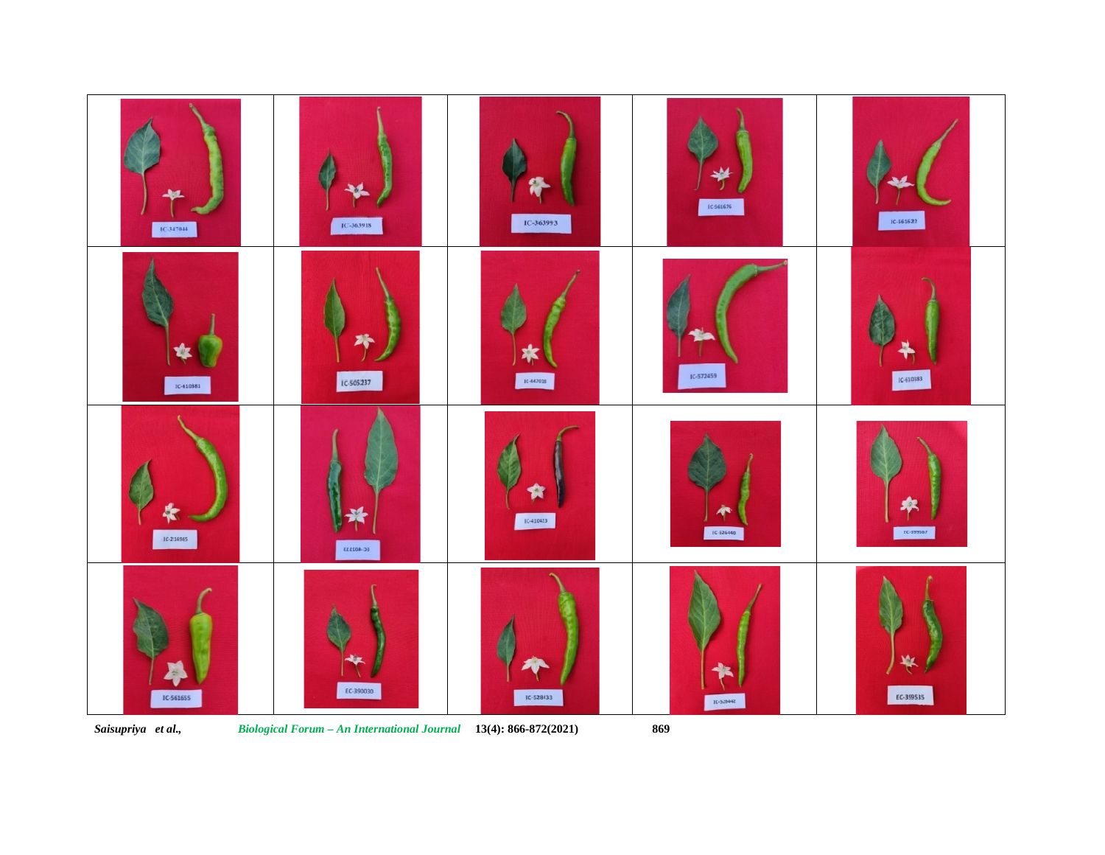

*Saisupriya et al., Biological Forum – An International Journal* **13(4): 866-872(2021) 869**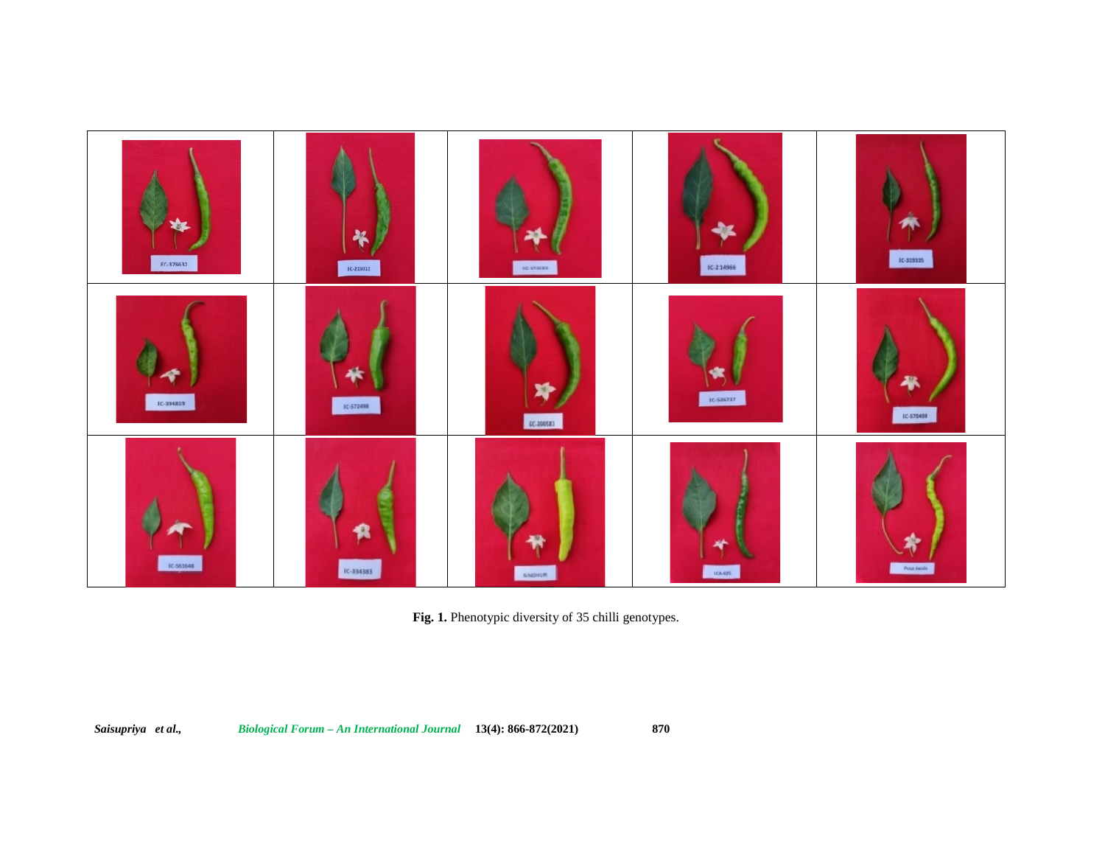

**Fig. 1.** Phenotypic diversity of 35 chilli genotypes.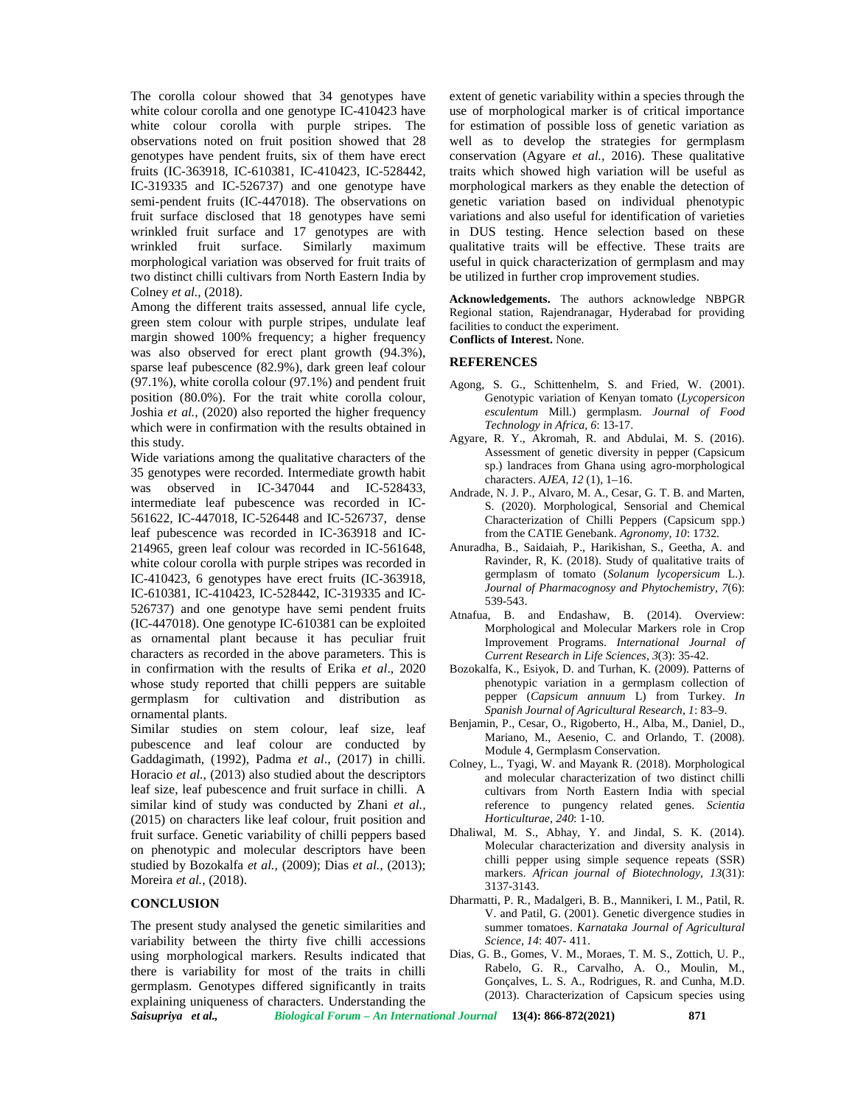The corolla colour showed that 34 genotypes have white colour corolla and one genotype IC-410423 have white colour corolla with purple stripes. The observations noted on fruit position showed that 28 genotypes have pendent fruits, six of them have erect fruits (IC-363918, IC-610381, IC-410423, IC-528442, IC-319335 and IC-526737) and one genotype have semi-pendent fruits (IC-447018). The observations on fruit surface disclosed that 18 genotypes have semi wrinkled fruit surface and 17 genotypes are with wrinkled fruit surface. Similarly maximum morphological variation was observed for fruit traits of two distinct chilli cultivars from North Eastern India by Colney *et al.,* (2018).

Among the different traits assessed, annual life cycle, green stem colour with purple stripes, undulate leaf margin showed 100% frequency; a higher frequency was also observed for erect plant growth (94.3%), sparse leaf pubescence (82.9%), dark green leaf colour (97.1%), white corolla colour (97.1%) and pendent fruit position (80.0%). For the trait white corolla colour, Joshia *et al.,* (2020) also reported the higher frequency which were in confirmation with the results obtained in this study.

Wide variations among the qualitative characters of the 35 genotypes were recorded. Intermediate growth habit was observed in IC-347044 and IC-528433, intermediate leaf pubescence was recorded in IC- 561622, IC-447018, IC-526448 and IC-526737, dense leaf pubescence was recorded in IC-363918 and IC- 214965, green leaf colour was recorded in IC-561648, white colour corolla with purple stripes was recorded in IC-410423, 6 genotypes have erect fruits (IC-363918, IC-610381, IC-410423, IC-528442, IC-319335 and IC- 526737) and one genotype have semi pendent fruits (IC-447018). One genotype IC-610381 can be exploited as ornamental plant because it has peculiar fruit characters as recorded in the above parameters. This is in confirmation with the results of Erika *et al*., 2020 whose study reported that chilli peppers are suitable germplasm for cultivation and distribution as ornamental plants.

Similar studies on stem colour, leaf size, leaf pubescence and leaf colour are conducted by Gaddagimath, (1992), Padma *et al*., (2017) in chilli. Horacio *et al.,* (2013) also studied about the descriptors leaf size, leaf pubescence and fruit surface in chilli. A similar kind of study was conducted by Zhani *et al.,* (2015) on characters like leaf colour, fruit position and fruit surface. Genetic variability of chilli peppers based on phenotypic and molecular descriptors have been studied by Bozokalfa *et al.,* (2009); Dias *et al.,* (2013); Moreira *et al.,* (2018).

#### **CONCLUSION**

The present study analysed the genetic similarities and variability between the thirty five chilli accessions using morphological markers. Results indicated that there is variability for most of the traits in chilli germplasm. Genotypes differed significantly in traits explaining uniqueness of characters. Understanding the extent of genetic variability within a species through the use of morphological marker is of critical importance for estimation of possible loss of genetic variation as well as to develop the strategies for germplasm conservation (Agyare *et al.,* 2016). These qualitative traits which showed high variation will be useful as morphological markers as they enable the detection of genetic variation based on individual phenotypic variations and also useful for identification of varieties in DUS testing. Hence selection based on these qualitative traits will be effective. These traits are useful in quick characterization of germplasm and may be utilized in further crop improvement studies.

**Acknowledgements.** The authors acknowledge NBPGR Regional station, Rajendranagar, Hyderabad for providing facilities to conduct the experiment. **Conflicts of Interest.** None.

#### **REFERENCES**

- Agong, S. G., Schittenhelm, S. and Fried, W. (2001). Genotypic variation of Kenyan tomato (*Lycopersicon esculentum* Mill.) germplasm. *Journal of Food Technology in Africa, 6*: 13-17.
- Agyare, R. Y., Akromah, R. and Abdulai, M. S. (2016). Assessment of genetic diversity in pepper (Capsicum sp.) landraces from Ghana using agro-morphological characters. *AJEA*, *12* (1), 1–16.
- Andrade, N. J. P., Alvaro, M. A., Cesar, G. T. B. and Marten, S. (2020). Morphological, Sensorial and Chemical Characterization of Chilli Peppers (Capsicum spp.) from the CATIE Genebank. *Agronomy, 10*: 1732.
- Anuradha, B., Saidaiah, P., Harikishan, S., Geetha, A. and Ravinder, R, K. (2018). Study of qualitative traits of germplasm of tomato (*Solanum lycopersicum* L.). *Journal of Pharmacognosy and Phytochemistry*, *7*(6): 539-543.
- Atnafua, B. and Endashaw, B. (2014). Overview: Morphological and Molecular Markers role in Crop Improvement Programs. *International Journal of Current Research in Life Sciences*, *3*(3): 35-42.
- Bozokalfa, K., Esiyok, D. and Turhan, K. (2009). Patterns of phenotypic variation in a germplasm collection of pepper (*Capsicum annuum* L) from Turkey. *In Spanish Journal of Agricultural Research*, *1*: 83–9.
- Benjamin, P., Cesar, O., Rigoberto, H., Alba, M., Daniel, D., Mariano, M., Aesenio, C. and Orlando, T. (2008). Module 4, Germplasm Conservation.
- Colney, L., Tyagi, W. and Mayank R. (2018). Morphological and molecular characterization of two distinct chilli cultivars from North Eastern India with special reference to pungency related genes. *Scientia Horticulturae, 240*: 1-10.
- Dhaliwal, M. S., Abhay, Y. and Jindal, S. K. (2014). Molecular characterization and diversity analysis in chilli pepper using simple sequence repeats (SSR) markers. *African journal of Biotechnology, 13*(31): 3137-3143.
- Dharmatti, P. R., Madalgeri, B. B., Mannikeri, I. M., Patil, R. V. and Patil, G. (2001). Genetic divergence studies in summer tomatoes. *Karnataka Journal of Agricultural Science, 14*: 407- 411.
- Dias, G. B., Gomes, V. M., Moraes, T. M. S., Zottich, U. P., Rabelo, G. R., Carvalho, A. O., Moulin, M., Gonçalves, L. S. A., Rodrigues, R. and Cunha, M.D. (2013). Characterization of Capsicum species using